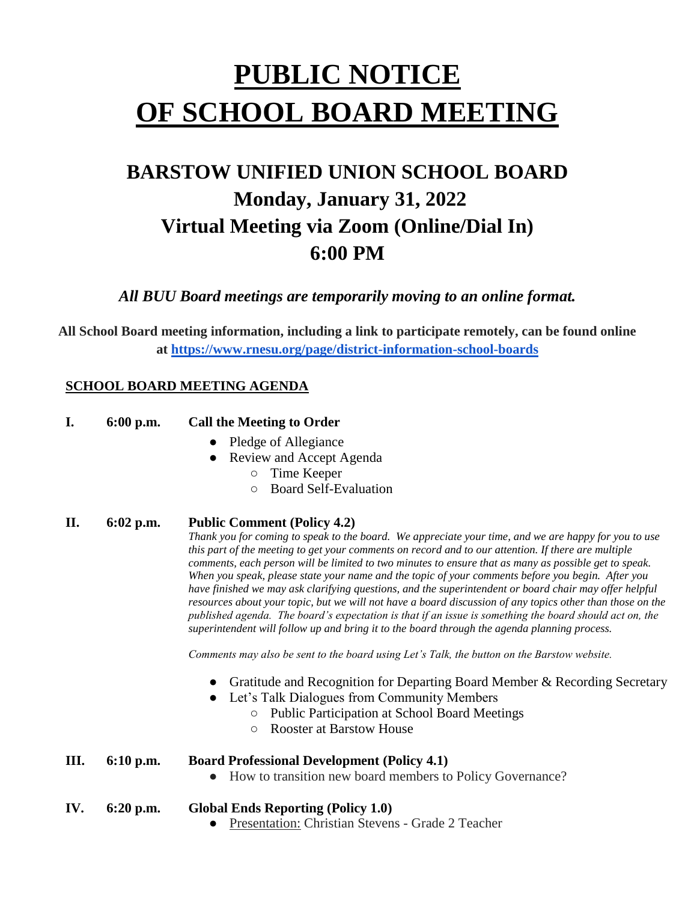# **PUBLIC NOTICE OF SCHOOL BOARD MEETING**

# **BARSTOW UNIFIED UNION SCHOOL BOARD Monday, January 31, 2022 Virtual Meeting via Zoom (Online/Dial In) 6:00 PM**

*All BUU Board meetings are temporarily moving to an online format.*

**All School Board meeting information, including a link to participate remotely, can be found online at<https://www.rnesu.org/page/district-information-school-boards>**

## **SCHOOL BOARD MEETING AGENDA**

| <b>I.</b> | $6:00$ p.m. | <b>Call the Meeting to Order</b> |
|-----------|-------------|----------------------------------|
|           |             |                                  |

- Pledge of Allegiance
- **Review and Accept Agenda** 
	- Time Keeper
	- Board Self-Evaluation

### **II. 6:02 p.m. Public Comment (Policy 4.2)**

*Thank you for coming to speak to the board. We appreciate your time, and we are happy for you to use this part of the meeting to get your comments on record and to our attention. If there are multiple comments, each person will be limited to two minutes to ensure that as many as possible get to speak. When you speak, please state your name and the topic of your comments before you begin. After you have finished we may ask clarifying questions, and the superintendent or board chair may offer helpful resources about your topic, but we will not have a board discussion of any topics other than those on the published agenda. The board's expectation is that if an issue is something the board should act on, the superintendent will follow up and bring it to the board through the agenda planning process.*

*Comments may also be sent to the board using Let's Talk, the button on the Barstow website.*

- Gratitude and Recognition for Departing Board Member & Recording Secretary
- Let's Talk Dialogues from Community Members
	- Public Participation at School Board Meetings
	- Rooster at Barstow House

#### **III. 6:10 p.m. Board Professional Development (Policy 4.1)**

- How to transition new board members to Policy Governance?
- **IV. 6:20 p.m. Global Ends Reporting (Policy 1.0)** 
	- Presentation: Christian Stevens Grade 2 Teacher